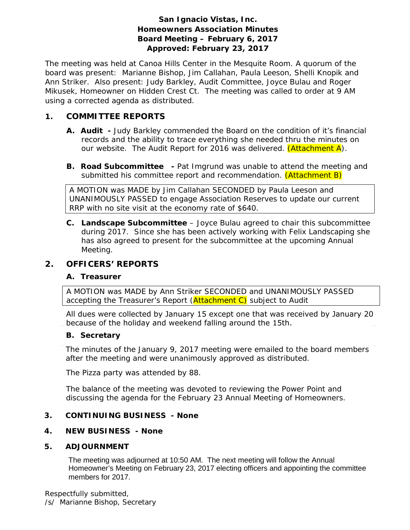### **San Ignacio Vistas, Inc. Homeowners Association Minutes Board Meeting – February 6, 2017 Approved: February 23, 2017**

The meeting was held at Canoa Hills Center in the Mesquite Room. A quorum of the board was present: Marianne Bishop, Jim Callahan, Paula Leeson, Shelli Knopik and Ann Striker. Also present: Judy Barkley, Audit Committee, Joyce Bulau and Roger Mikusek, Homeowner on Hidden Crest Ct. The meeting was called to order at 9 AM using a corrected agenda as distributed.

### **1. COMMITTEE REPORTS**

- **A. Audit** Judy Barkley commended the Board on the condition of it's financial records and the ability to trace everything she needed thru the minutes on our website. The Audit Report for 2016 was delivered.  $(A$ ttachment  $A$ ).
- **B. Road Subcommittee** Pat Imgrund was unable to attend the meeting and submitted his committee report and recommendation. *(Attachment B)*

A MOTION was MADE by Jim Callahan SECONDED by Paula Leeson and UNANIMOUSLY PASSED to engage Association Reserves to update our current RRP with no site visit at the economy rate of \$640.

**C. Landscape Subcommittee** – Joyce Bulau agreed to chair this subcommittee during 2017. Since she has been actively working with Felix Landscaping she has also agreed to present for the subcommittee at the upcoming Annual Meeting.

### **2. OFFICERS' REPORTS**

### **A. Treasurer**

A MOTION was MADE by Ann Striker SECONDED and UNANIMOUSLY PASSED accepting the Treasurer's Report (**Attachment C)** subject to Audit

All dues were collected by January 15 except one that was received by January 20 because of the holiday and weekend falling around the 15th.

#### **B. Secretary**

The minutes of the January 9, 2017 meeting were emailed to the board members after the meeting and were unanimously approved as distributed.

The Pizza party was attended by 88.

The balance of the meeting was devoted to reviewing the Power Point and discussing the agenda for the February 23 Annual Meeting of Homeowners.

### **3. CONTINUING BUSINESS - None**

### **4. NEW BUSINESS - None**

#### **5. ADJOURNMENT**

The meeting was adjourned at 10:50 AM. The next meeting will follow the Annual Homeowner's Meeting on February 23, 2017 electing officers and appointing the committee members for 2017.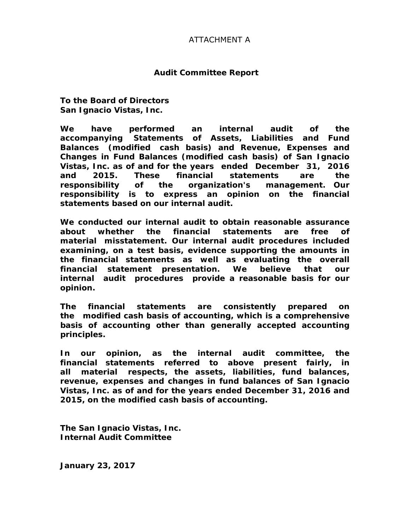### ATTACHMENT A

#### **Audit Committee Report**

**To the Board of Directors San Ignacio Vistas, Inc.** 

**We have performed an internal audit of the accompanying Statements of Assets, Liabilities and Fund Balances (modified cash basis) and Revenue, Expenses and Changes in Fund Balances (modified cash basis) of San Ignacio Vistas, Inc. as of and for the years ended December 31, 2016 and 2015. These financial statements are the responsibility of the organization's management. Our responsibility is to express an opinion on the financial statements based on our internal audit.** 

**We conducted our internal audit to obtain reasonable assurance about whether the financial statements are free of material misstatement. Our internal audit procedures included examining, on a test basis, evidence supporting the amounts in the financial statements as well as evaluating the overall financial statement presentation. We believe that our internal audit procedures provide a reasonable basis for our opinion.** 

**The financial statements are consistently prepared on the modified cash basis of accounting, which is a comprehensive basis of accounting other than generally accepted accounting principles.** 

**In our opinion, as the internal audit committee, the financial statements referred to above present fairly, in all material respects, the assets, liabilities, fund balances, revenue, expenses and changes in fund balances of San Ignacio Vistas, Inc. as of and for the years ended December 31, 2016 and 2015, on the modified cash basis of accounting.** 

**The San Ignacio Vistas, Inc. Internal Audit Committee** 

**January 23, 2017**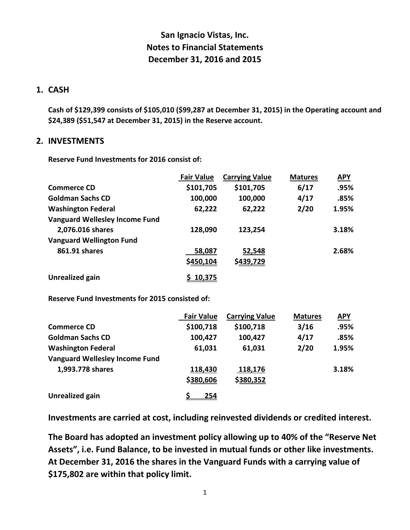### **1. CASH**

**Cash of \$129,399 consists of \$105,010 (\$99,287 at December 31, 2015) in the Operating account and \$24,389 (\$51,547 at December 31, 2015) in the Reserve account.**

### **2. INVESTMENTS**

**Reserve Fund Investments for 2016 consist of:**

|                                       | <b>Fair Value</b> | <b>Carrying Value</b> | <b>Matures</b> | <u>APY</u> |
|---------------------------------------|-------------------|-----------------------|----------------|------------|
| Commerce CD                           | \$101,705         | \$101,705             | 6/17           | .95%       |
| <b>Goldman Sachs CD</b>               | 100,000           | 100,000               | 4/17           | .85%       |
| <b>Washington Federal</b>             | 62,222            | 62,222                | 2/20           | 1.95%      |
| <b>Vanguard Wellesley Income Fund</b> |                   |                       |                |            |
| 2,076.016 shares                      | 128,090           | 123,254               |                | 3.18%      |
| <b>Vanguard Wellington Fund</b>       |                   |                       |                |            |
| 861.91 shares                         | 58,087            | 52,548                |                | 2.68%      |
|                                       | \$450,104         | \$439,729             |                |            |
| Unrealized gain                       | \$10,375          |                       |                |            |

**Reserve Fund Investments for 2015 consisted of:**

|                                       | <b>Fair Value</b> | <b>Carrying Value</b> | <b>Matures</b> | <u>APY</u> |
|---------------------------------------|-------------------|-----------------------|----------------|------------|
| <b>Commerce CD</b>                    | \$100,718         | \$100,718             | 3/16           | .95%       |
| <b>Goldman Sachs CD</b>               | 100,427           | 100,427               | 4/17           | .85%       |
| <b>Washington Federal</b>             | 61,031            | 61,031                | 2/20           | 1.95%      |
| <b>Vanguard Wellesley Income Fund</b> |                   |                       |                |            |
| 1,993.778 shares                      | 118,430           | 118,176               |                | 3.18%      |
|                                       | \$380,606         | \$380,352             |                |            |
| Unrealized gain                       | 254               |                       |                |            |

**Investments are carried at cost, including reinvested dividends or credited interest.** 

**The Board has adopted an investment policy allowing up to 40% of the "Reserve Net Assets", i.e. Fund Balance, to be invested in mutual funds or other like investments. At December 31, 2016 the shares in the Vanguard Funds with a carrying value of \$175,802 are within that policy limit.**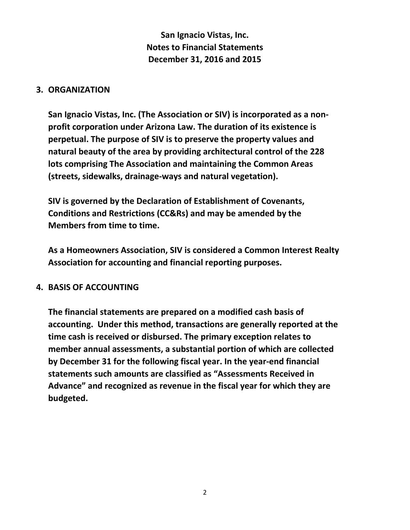## **3. ORGANIZATION**

**San Ignacio Vistas, Inc. (The Association or SIV) is incorporated as a nonprofit corporation under Arizona Law. The duration of its existence is perpetual. The purpose of SIV is to preserve the property values and natural beauty of the area by providing architectural control of the 228 lots comprising The Association and maintaining the Common Areas (streets, sidewalks, drainage-ways and natural vegetation).**

**SIV is governed by the Declaration of Establishment of Covenants, Conditions and Restrictions (CC&Rs) and may be amended by the Members from time to time.**

**As a Homeowners Association, SIV is considered a Common Interest Realty Association for accounting and financial reporting purposes.**

# **4. BASIS OF ACCOUNTING**

**The financial statements are prepared on a modified cash basis of accounting. Under this method, transactions are generally reported at the time cash is received or disbursed. The primary exception relates to member annual assessments, a substantial portion of which are collected by December 31 for the following fiscal year. In the year-end financial statements such amounts are classified as "Assessments Received in Advance" and recognized as revenue in the fiscal year for which they are budgeted.**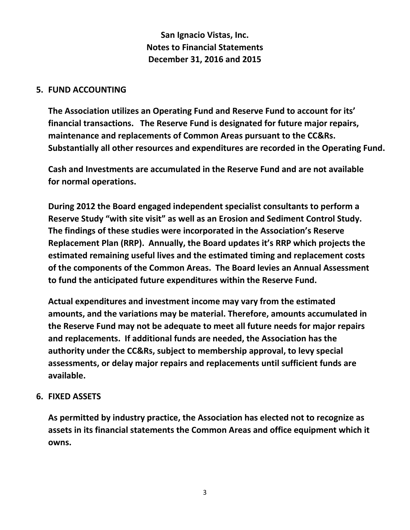## **5. FUND ACCOUNTING**

**The Association utilizes an Operating Fund and Reserve Fund to account for its' financial transactions. The Reserve Fund is designated for future major repairs, maintenance and replacements of Common Areas pursuant to the CC&Rs. Substantially all other resources and expenditures are recorded in the Operating Fund.**

**Cash and Investments are accumulated in the Reserve Fund and are not available for normal operations.** 

**During 2012 the Board engaged independent specialist consultants to perform a Reserve Study "with site visit" as well as an Erosion and Sediment Control Study. The findings of these studies were incorporated in the Association's Reserve Replacement Plan (RRP). Annually, the Board updates it's RRP which projects the estimated remaining useful lives and the estimated timing and replacement costs of the components of the Common Areas. The Board levies an Annual Assessment to fund the anticipated future expenditures within the Reserve Fund.** 

**Actual expenditures and investment income may vary from the estimated amounts, and the variations may be material. Therefore, amounts accumulated in the Reserve Fund may not be adequate to meet all future needs for major repairs and replacements. If additional funds are needed, the Association has the authority under the CC&Rs, subject to membership approval, to levy special assessments, or delay major repairs and replacements until sufficient funds are available.**

# **6. FIXED ASSETS**

**As permitted by industry practice, the Association has elected not to recognize as assets in its financial statements the Common Areas and office equipment which it owns.**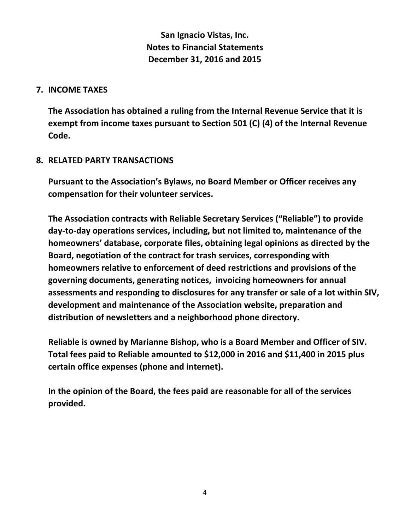## **7. INCOME TAXES**

**The Association has obtained a ruling from the Internal Revenue Service that it is exempt from income taxes pursuant to Section 501 (C) (4) of the Internal Revenue Code.**

# **8. RELATED PARTY TRANSACTIONS**

**Pursuant to the Association's Bylaws, no Board Member or Officer receives any compensation for their volunteer services.**

**The Association contracts with Reliable Secretary Services ("Reliable") to provide day-to-day operations services, including, but not limited to, maintenance of the homeowners' database, corporate files, obtaining legal opinions as directed by the Board, negotiation of the contract for trash services, corresponding with homeowners relative to enforcement of deed restrictions and provisions of the governing documents, generating notices, invoicing homeowners for annual assessments and responding to disclosures for any transfer or sale of a lot within SIV, development and maintenance of the Association website, preparation and distribution of newsletters and a neighborhood phone directory.**

**Reliable is owned by Marianne Bishop, who is a Board Member and Officer of SIV. Total fees paid to Reliable amounted to \$12,000 in 2016 and \$11,400 in 2015 plus certain office expenses (phone and internet).**

**In the opinion of the Board, the fees paid are reasonable for all of the services provided.**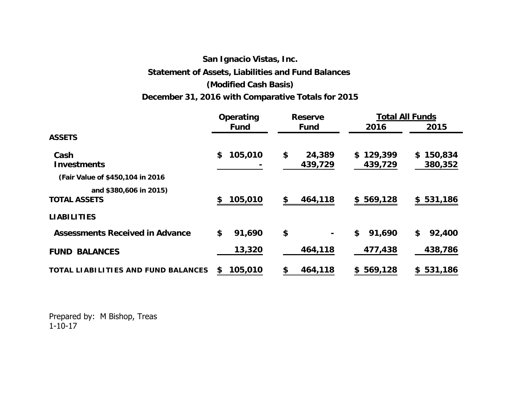# **San Ignacio Vistas, Inc. Statement of Assets, Liabilities and Fund Balances (Modified Cash Basis) December 31, 2016 with Comparative Totals for 2015**

|                                               | Operating |             | Reserve                 |    | <b>Total All Funds</b> |    |                      |
|-----------------------------------------------|-----------|-------------|-------------------------|----|------------------------|----|----------------------|
|                                               |           | <b>Fund</b> | <b>Fund</b>             |    | 2016                   |    | 2015                 |
| <b>ASSETS</b>                                 |           |             |                         |    |                        |    |                      |
| Cash<br><b>Investments</b>                    | \$        | 105,010     | \$<br>24,389<br>439,729 |    | \$129,399<br>439,729   |    | \$150,834<br>380,352 |
| (Fair Value of \$450,104 in 2016)             |           |             |                         |    |                        |    |                      |
| and \$380,606 in 2015)<br><b>TOTAL ASSETS</b> | \$        | 105,010     | \$<br>464,118           |    | \$569,128              |    | \$531,186            |
| <b>LIABILITIES</b>                            |           |             |                         |    |                        |    |                      |
| <b>Assessments Received in Advance</b>        | \$        | 91,690      | \$                      | \$ | 91,690                 | \$ | 92,400               |
| <b>BALANCES</b><br><b>FUND</b>                |           | 13,320      | 464,118                 |    | 477,438                |    | 438,786              |
| TOTAL LIABILITIES AND FUND BALANCES           | S         | 105,010     | \$<br>464,118           |    | \$569,128              |    | \$531,186            |

Prepared by: M Bishop, Treas 1-10-17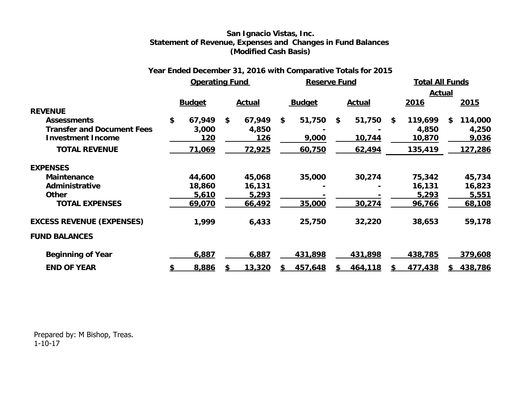### **San Ignacio Vistas, Inc. Statement of Revenue, Expenses and Changes in Fund Balances (Modified Cash Basis)**

## **Year Ended December 31, 2016 with Comparative Totals for 2015**

|                                   |               | <b>Operating Fund</b> |               | <b>Reserve Fund</b> | <b>Total All Funds</b> |                |  |
|-----------------------------------|---------------|-----------------------|---------------|---------------------|------------------------|----------------|--|
|                                   |               |                       |               |                     | <b>Actual</b>          |                |  |
|                                   | <b>Budget</b> | <b>Actual</b>         | <b>Budget</b> | <b>Actual</b>       | <u>2016</u>            | 2015           |  |
| <b>REVENUE</b>                    |               |                       |               |                     |                        |                |  |
| <b>Assessments</b>                | \$<br>67,949  | \$<br>67,949          | 51,750<br>\$  | 51,750<br>\$        | 119,699<br>S.          | 114,000<br>S.  |  |
| <b>Transfer and Document Fees</b> | 3,000         | 4,850                 |               |                     | 4,850                  | 4,250          |  |
| <b>Investment Income</b>          | 120           | 126                   | 9,000         | 10,744              | 10,870                 | 9,036          |  |
| <b>TOTAL REVENUE</b>              | 71,069        | 72,925                | 60,750        | 62,494              | 135,419                | <u>127,286</u> |  |
| <b>EXPENSES</b>                   |               |                       |               |                     |                        |                |  |
| <b>Maintenance</b>                | 44,600        | 45,068                | 35,000        | 30,274              | 75,342                 | 45,734         |  |
| Administrative                    | 18,860        | 16,131                |               |                     | 16,131                 | 16,823         |  |
| <b>Other</b>                      | 5,610         | 5,293                 |               |                     | 5,293                  | 5,551          |  |
| <b>TOTAL EXPENSES</b>             | 69,070        | 66,492                | 35,000        | 30,274              | 96,766                 | 68,108         |  |
| <b>EXCESS REVENUE (EXPENSES)</b>  | 1,999         | 6,433                 | 25,750        | 32,220              | 38,653                 | 59,178         |  |
| <b>FUND BALANCES</b>              |               |                       |               |                     |                        |                |  |
| <b>Beginning of Year</b>          | 6,887         | 6,887                 | 431,898       | 431,898             | 438,785                | 379,608        |  |
| <b>END OF YEAR</b>                | 8,886         | 13,320                | 457,648       | 464,118             | 477,438                | 438,786        |  |

Prepared by: M Bishop, Treas. 1-10-17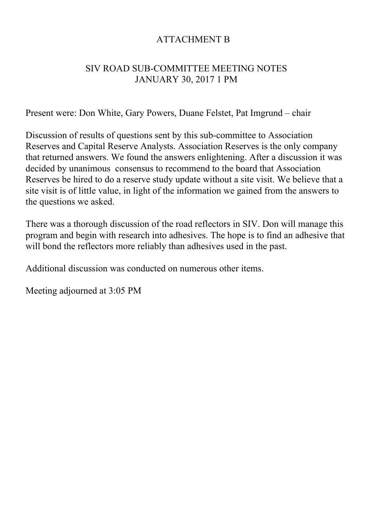# ATTACHMENT B

# SIV ROAD SUB-COMMITTEE MEETING NOTES JANUARY 30, 2017 1 PM

Present were: Don White, Gary Powers, Duane Felstet, Pat Imgrund – chair

Discussion of results of questions sent by this sub-committee to Association Reserves and Capital Reserve Analysts. Association Reserves is the only company that returned answers. We found the answers enlightening. After a discussion it was decided by unanimous consensus to recommend to the board that Association Reserves be hired to do a reserve study update without a site visit. We believe that a site visit is of little value, in light of the information we gained from the answers to the questions we asked.

There was a thorough discussion of the road reflectors in SIV. Don will manage this program and begin with research into adhesives. The hope is to find an adhesive that will bond the reflectors more reliably than adhesives used in the past.

Additional discussion was conducted on numerous other items.

Meeting adjourned at 3:05 PM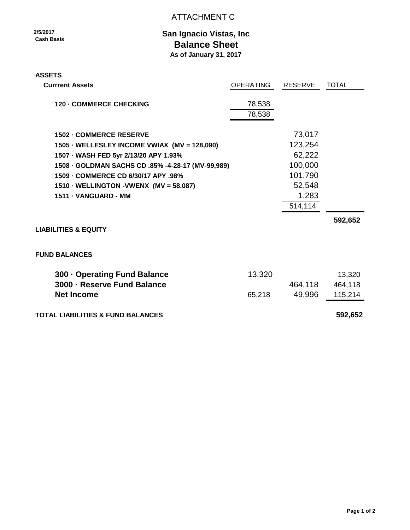## ATTACHMENT C

**2/5/2017**

# **San Ignacio Vistas, Inc Balance Sheet As of January 31, 2017**

**ASSETS**

| <b>Currrent Assets</b>                            | <b>OPERATING</b> | <b>RESERVE</b> | <b>TOTAL</b> |
|---------------------------------------------------|------------------|----------------|--------------|
| <b>120 - COMMERCE CHECKING</b>                    | 78,538<br>78,538 |                |              |
| 1502 - COMMERCE RESERVE                           |                  | 73,017         |              |
| 1505 - WELLESLEY INCOME VWIAX (MV = 128,090)      |                  | 123,254        |              |
| 1507 · WASH FED 5yr 2/13/20 APY 1.93%             |                  | 62,222         |              |
| 1508 · GOLDMAN SACHS CD .85% -4-28-17 (MV-99,989) |                  | 100,000        |              |
| 1509 - COMMERCE CD 6/30/17 APY .98%               |                  | 101,790        |              |
| 1510 - WELLINGTON - VWENX (MV = 58,087)           |                  | 52,548         |              |
| 1511 - VANGUARD - MM                              |                  | 1,283          |              |
|                                                   |                  | 514,114        |              |
|                                                   |                  |                | 592,652      |
| <b>LIABILITIES &amp; EQUITY</b>                   |                  |                |              |
| <b>FUND BALANCES</b>                              |                  |                |              |
| 300 · Operating Fund Balance                      | 13,320           |                | 13,320       |
| 3000 - Reserve Fund Balance                       |                  | 464,118        | 464,118      |
| <b>Net Income</b>                                 | 65,218           | 49,996         | 115,214      |
| <b>TOTAL LIABILITIES &amp; FUND BALANCES</b>      |                  |                | 592,652      |